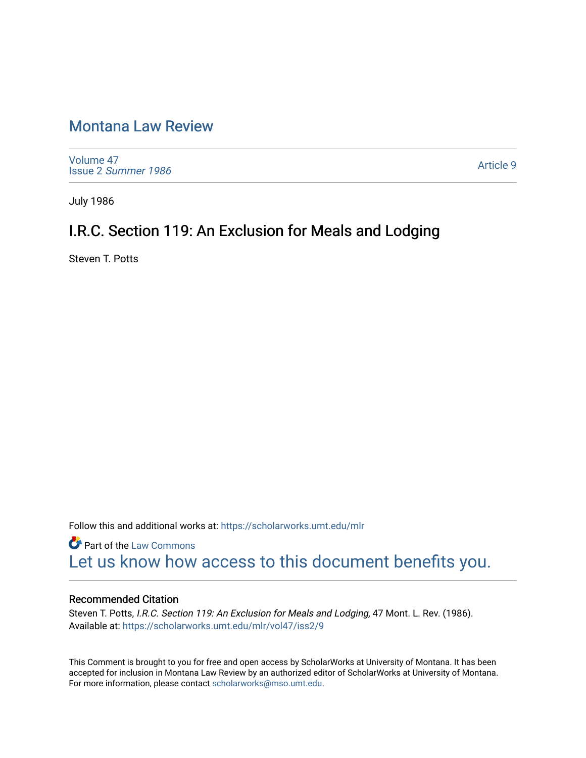## [Montana Law Review](https://scholarworks.umt.edu/mlr)

[Volume 47](https://scholarworks.umt.edu/mlr/vol47) Issue 2 [Summer 1986](https://scholarworks.umt.edu/mlr/vol47/iss2) 

[Article 9](https://scholarworks.umt.edu/mlr/vol47/iss2/9) 

July 1986

# I.R.C. Section 119: An Exclusion for Meals and Lodging

Steven T. Potts

Follow this and additional works at: [https://scholarworks.umt.edu/mlr](https://scholarworks.umt.edu/mlr?utm_source=scholarworks.umt.edu%2Fmlr%2Fvol47%2Fiss2%2F9&utm_medium=PDF&utm_campaign=PDFCoverPages) 

**Part of the [Law Commons](http://network.bepress.com/hgg/discipline/578?utm_source=scholarworks.umt.edu%2Fmlr%2Fvol47%2Fiss2%2F9&utm_medium=PDF&utm_campaign=PDFCoverPages)** [Let us know how access to this document benefits you.](https://goo.gl/forms/s2rGfXOLzz71qgsB2) 

## Recommended Citation

Steven T. Potts, I.R.C. Section 119: An Exclusion for Meals and Lodging, 47 Mont. L. Rev. (1986). Available at: [https://scholarworks.umt.edu/mlr/vol47/iss2/9](https://scholarworks.umt.edu/mlr/vol47/iss2/9?utm_source=scholarworks.umt.edu%2Fmlr%2Fvol47%2Fiss2%2F9&utm_medium=PDF&utm_campaign=PDFCoverPages) 

This Comment is brought to you for free and open access by ScholarWorks at University of Montana. It has been accepted for inclusion in Montana Law Review by an authorized editor of ScholarWorks at University of Montana. For more information, please contact [scholarworks@mso.umt.edu.](mailto:scholarworks@mso.umt.edu)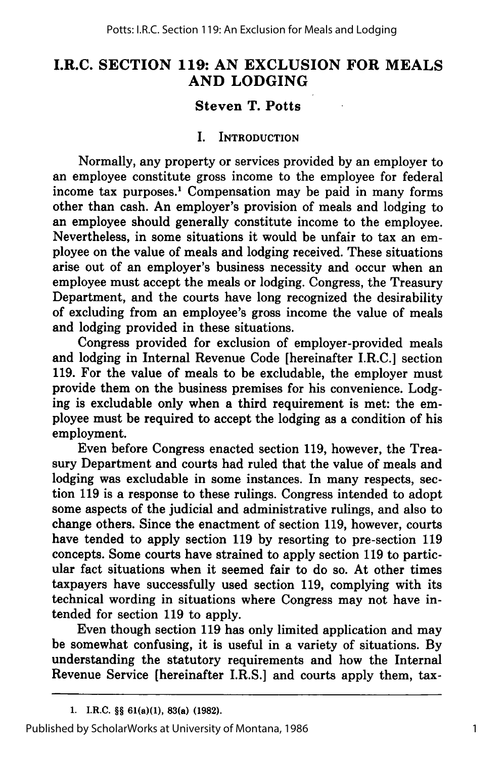## **I.R.C. SECTION 119: AN EXCLUSION FOR MEALS AND LODGING**

## **Steven T. Potts**

#### **I. INTRODUCTION**

Normally, any property or services provided **by** an employer to an employee constitute gross income to the employee for federal income tax purposes.' Compensation may be paid in many forms other than cash. An employer's provision of meals and lodging to an employee should generally constitute income to the employee. Nevertheless, in some situations it would be unfair to tax an employee on the value of meals and lodging received. These situations arise out of an employer's business necessity and occur when an employee must accept the meals or lodging. Congress, the Treasury Department, and the courts have long recognized the desirability of excluding from an employee's gross income the value of meals and lodging provided in these situations.

Congress provided for exclusion of employer-provided meals and lodging in Internal Revenue Code [hereinafter I.R.C.] section **119.** For the value of meals to be excludable, the employer must provide them on the business premises for his convenience. Lodging is excludable only when a third requirement is met: the employee must be required to accept the lodging as a condition of his employment.

Even before Congress enacted section **119,** however, the Treasury Department and courts had ruled that the value of meals and lodging was excludable in some instances. In many respects, section **119** is a response to these rulings. Congress intended to adopt some aspects of the judicial and administrative rulings, and also to change others. Since the enactment of section **119,** however, courts have tended to apply section **119 by** resorting to pre-section **119** concepts. Some courts have strained to apply section **119** to particular fact situations when it seemed fair to do so. At other times taxpayers have successfully used section **119,** complying with its technical wording in situations where Congress may not have intended for section **119** to apply.

Even though section **119** has only limited application and may be somewhat confusing, it is useful in a variety of situations. **By** understanding the statutory requirements and how the Internal Revenue Service [hereinafter I.R.S.] and courts apply them, tax-

**<sup>1.</sup> I.R.C.** §§ **61(a)(1), 83(a) (1982).**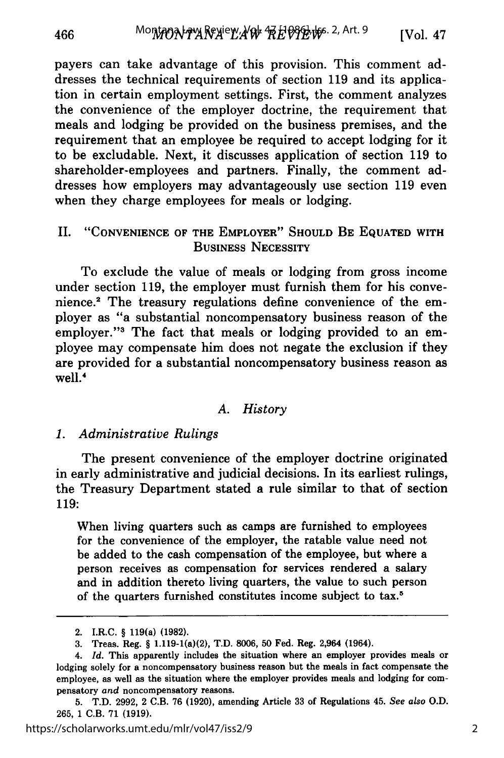payers can take advantage of this provision. This comment addresses the technical requirements of section 119 and its application in certain employment settings. First, the comment analyzes the convenience of the employer doctrine, the requirement that meals and lodging be provided on the business premises, and the requirement that an employee be required to accept lodging for it to be excludable. Next, it discusses application of section 119 to shareholder-employees and partners. Finally, the comment addresses how employers may advantageously use section 119 even when they charge employees for meals or lodging.

## II. **"CONVENIENCE** OF THE EMPLOYER" **SHOULD** BE **EQUATED** WITH BUSINESS **NECESSITY**

To exclude the value of meals or lodging from gross income under section **119,** the employer must furnish them for his conve**nience.2** The treasury regulations define convenience of the employer as "a substantial noncompensatory business reason of the employer."<sup>3</sup> The fact that meals or lodging provided to an employee may compensate him does not negate the exclusion if they are provided for a substantial noncompensatory business reason as well.4

## *A. History*

#### *1. Administrative Rulings*

The present convenience of the employer doctrine originated in early administrative and judicial decisions. In its earliest rulings, the Treasury Department stated a rule similar to that of section 119:

When living quarters such as camps are furnished to employees for the convenience of the employer, the ratable value need not be added to the cash compensation of the employee, but where a person receives as compensation for services rendered a salary and in addition thereto living quarters, the value to such person of the quarters furnished constitutes income subject to tax.5

466

<sup>2.</sup> I.R.C. § 119(a) **(1982).**

**<sup>3.</sup>** Treas. Reg. § 1.119-1(a)(2), T.D. **8006, 50** Fed. Reg. 2,964 (1964).

*<sup>4.</sup> Id.* This apparently includes the situation where an employer provides meals or lodging solely for a noncompensatory business reason but the meals in fact compensate the employee, as well as the situation where the employer provides meals and lodging for compensatory *and* noncompensatory reasons.

<sup>5.</sup> T.D. 2992, 2 C.B. 76 (1920), amending Article 33 of Regulations 45. *See* also O.D. 265, 1 C.B. 71 (1919).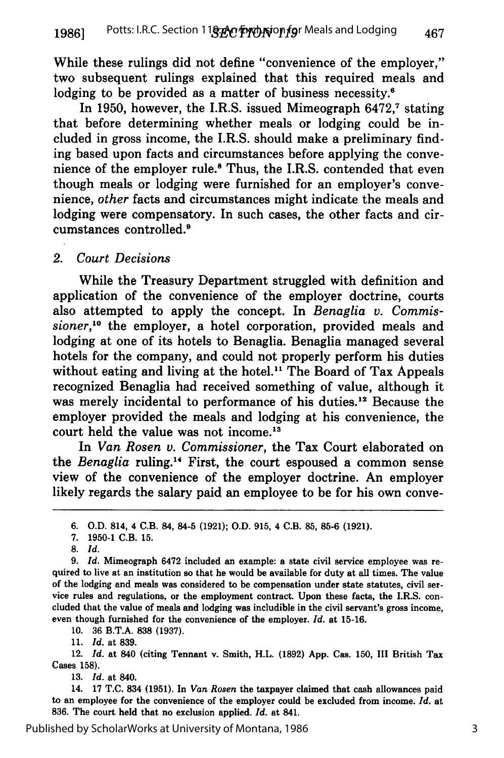While these rulings did not define "convenience of the employer," two subsequent rulings explained that this required meals and lodging to be provided as a matter of business necessity.<sup>6</sup>

In 1950, however, the I.R.S. issued Mimeograph 6472,<sup>7</sup> stating that before determining whether meals or lodging could be included in gross income, the I.R.S. should make a preliminary finding based upon facts and circumstances before applying the convenience of the employer rule.8 Thus, the I.R.S. contended that even though meals or lodging were furnished for an employer's convenience, *other* facts and circumstances might indicate the meals and lodging were compensatory. In such cases, the other facts and circumstances controlled.9

#### *2. Court Decisions*

While the Treasury Department struggled with definition and application of the convenience of the employer doctrine, courts also attempted to apply the concept. In *Benaglia v. Commissioner*,<sup>10</sup> the employer, a hotel corporation, provided meals and lodging at one of its hotels to Benaglia. Benaglia managed several hotels for the company, and could not properly perform his duties without eating and living at the hotel.<sup>11</sup> The Board of Tax Appeals recognized Benaglia had received something of value, although it was merely incidental to performance of his duties.<sup>12</sup> Because the employer provided the meals and lodging at his convenience, the court held the value was not income.<sup>13</sup>

In *Van Rosen v. Commissioner,* the Tax Court elaborated on the *Benaglia* ruling.<sup>14</sup> First, the court espoused a common sense view of the convenience of the employer doctrine. An employer likely regards the salary paid an employee to be for his own conve-

10. 36 B.T.A. 838 (1937).

11. *Id.* at 839.

12. *Id.* at 840 (citing Tennant v. Smith, H.L. (1892) App. Cas. 150, III British Tax Cases **158).**

**13.** *Id.* at 840.

14. **17 T.C.** 834 **(1951).** In *Van Rosen* the taxpayer claimed that cash allowances paid to an employee for the convenience of the employer could be excluded from income. *Id.* at **836.** The court held that no exclusion applied. *Id.* at 841.

**<sup>6.</sup> O.D.** 814, 4 C.B. 84, 84-5 **(1921); O.D. 915,** 4 C.B. **85, 85-6 (1921).**

**<sup>7. 1950-1</sup>** C.B. **15.**

**<sup>8.</sup>** *Id.*

*<sup>9.</sup> Id.* Mimeograph 6472 included an example: a state civil service employee was re- quired to live at an institution so that he would be available for duty at all times. The value of the lodging and meals was considered to be compensation under state statutes, civil ser vice rules and regulations, or the employment contract. Upon these facts, the I.R.S. concluded that the value of meals and lodging was includible in the civil servant's gross income, even though furnished for the convenience of the employer. *Id.* at 15-16.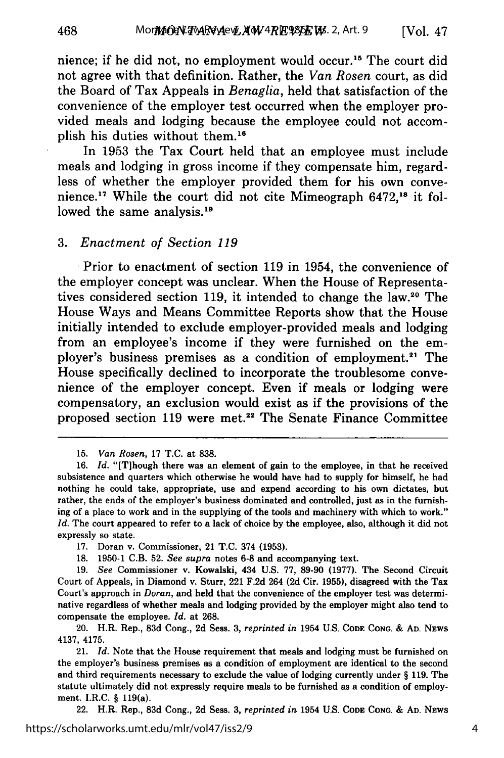nience; if he did not, no employment would occur."5 The court did not agree with that definition. Rather, the *Van Rosen* court, as did the Board of Tax Appeals in *Benaglia,* held that satisfaction of the convenience of the employer test occurred when the employer provided meals and lodging because the employee could not accomplish his duties without them.'

In **1953** the Tax Court held that an employee must include meals and lodging in gross income if they compensate him, regardless of whether the employer provided them for his own convenience. **<sup>17</sup>**While the court did not cite Mimeograph **6472,18** it followed the same analysis.<sup>19</sup>

#### **3.** *Enactment of Section <sup>119</sup>*

Prior to enactment of section **119** in 1954, the convenience of the employer concept was unclear. When the House of Representatives considered section **119,** it intended to change the law.2° The House Ways and Means Committee Reports show that the House initially intended to exclude employer-provided meals and lodging from an employee's income if they were furnished on the employer's business premises as a condition of employment.<sup>21</sup> The House specifically declined to incorporate the troublesome convenience of the employer concept. Even if meals or lodging were compensatory, an exclusion would exist as if the provisions of the proposed section **119** were met.22 The Senate Finance Committee

22. H.R. Rep., **83d** Cong., **2d** Sess. **3,** *reprinted in* 1954 **U.S. CODE CONG. & AD. NEWS**

**<sup>15.</sup>** *Van Rosen,* **17 T.C.** at **838.**

**<sup>16.</sup>** *Id.* "[Tihough there was an element of gain to the employee, in that he received subsistence and quarters which otherwise he would have had to supply for himself, he had nothing he could take, appropriate, use and expend according to his own dictates, but rather, the ends of the employer's business dominated and controlled, just as in the furnishing of a place to work and in the supplying of the tools and machinery with which to work." *Id.* The court appeared to refer to a lack of choice **by** the employee, also, although it did not expressly so state.

**<sup>17.</sup>** Doran v. Commissioner, 21 **T.C.** 374 **(1953).**

**<sup>18. 1950-1</sup>** C.B. **52.** *See supra* notes **6-8** and accompanying text.

**<sup>19.</sup>** *See* Commissioner v. Kowalski, 434 **U.S. 77, 89-90 (1977).** The Second Circuit Court of Appeals, in Diamond v. Sturr, 221 **F.2d** 264 **(2d** Cir. **1955),** disagreed with the Tax Court's approach in *Doran,* and held that the convenience of the employer test was determinative regardless of whether meals and lodging provided **by** the employer might also tend to compensate the employee. *Id.* at **268.**

<sup>20.</sup> H.R. Rep., **83d** Cong., **2d** Sess. **3,** *reprinted in* 1954 **U.S. CODE CONG. & AD. NEWS** 4137, 4175.

<sup>21.</sup> *Id.* Note that the House requirement that meals and lodging must be furnished on the employer's business premises as a condition of employment are identical to the second and third requirements necessary to exclude the value of lodging currently under **§ 119.** The statute ultimately did not expressly require meals to be furnished as a condition of employment. I.R.C. **§** 119(a).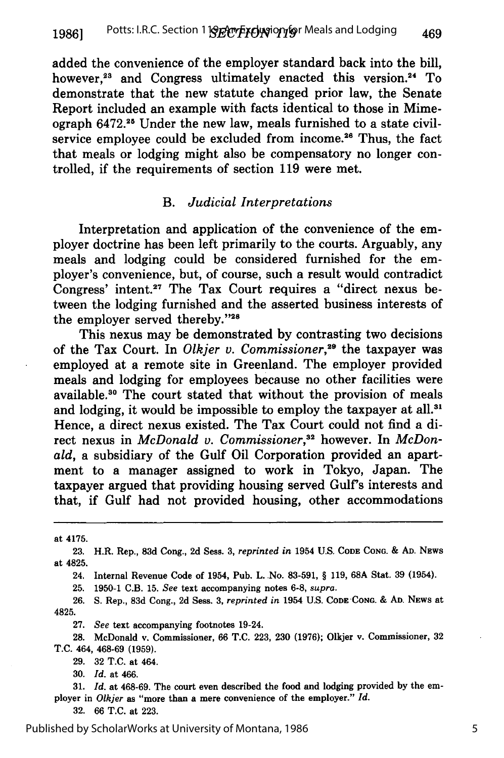added the convenience of the employer standard back into the bill, however,<sup>23</sup> and Congress ultimately enacted this version.<sup>24</sup> To demonstrate that the new statute changed prior law, the Senate Report included an example with facts identical to those in Mimeograph 6472.25 Under the new law, meals furnished to a state civilservice employee could be excluded from income.<sup>26</sup> Thus, the fact that meals or lodging might also be compensatory no longer controlled, if the requirements of section 119 were met.

#### *B. Judicial Interpretations*

Interpretation and application of the convenience of the employer doctrine has been left primarily to the courts. Arguably, any meals and lodging could be considered furnished for the employer's convenience, but, of course, such a result would contradict Congress' intent.27 The Tax Court requires a "direct nexus between the lodging furnished and the asserted business interests of the employer served thereby."28

This nexus may be demonstrated by contrasting two decisions of the Tax Court. In *Olkjer v. Commissioner,29* the taxpayer was employed at a remote site in Greenland. The employer provided meals and lodging for employees because no other facilities were available. 30 The court stated that without the provision of meals and lodging, it would be impossible to employ the taxpayer at all.<sup>31</sup> Hence, a direct nexus existed. The Tax Court could not find a direct nexus in *McDonald v. Commissioner*,<sup>32</sup> however. In *McDonald,* a subsidiary of the Gulf Oil Corporation provided an apartment to a manager assigned to work in Tokyo, Japan. The taxpayer argued that providing housing served Gulf's interests and that, if Gulf had not provided housing, other accommodations

at 4175.

24. Internal Revenue Code of 1954, Pub. L. -No. 83-591, § 119, **68A** Stat. 39 (1954).

25. 1950-1 C.B. 15. *See* text accompanying notes 6-8, *supra.*

26. S. Rep., 83d Cong., 2d Sess. 3, *reprinted in* 1954 U.S. Code Cong. & Ad. News at 4825.

27. *See* text accompanying footnotes 19-24.

28. McDonald v. Commissioner, 66 T.C. 223, 230 (1976); Olkjer v. Commissioner, 32 T.C. 464, 468-69 (1959).

29. 32 T.C. at 464.

30. *Id.* at 466.

31. *Id.* at 468-69. The court even described the food and lodging provided by the employer in *Olkjer* as "more than a mere convenience of the employer." *Id.*

32. 66 T.C. at 223.

**<sup>23.</sup>** H.R. Rep., **83d** Cong., **2d Sess. 3,** *reprinted in* 1954 **U.S. CODE CONG.** & **AD. NEWS** at 4825.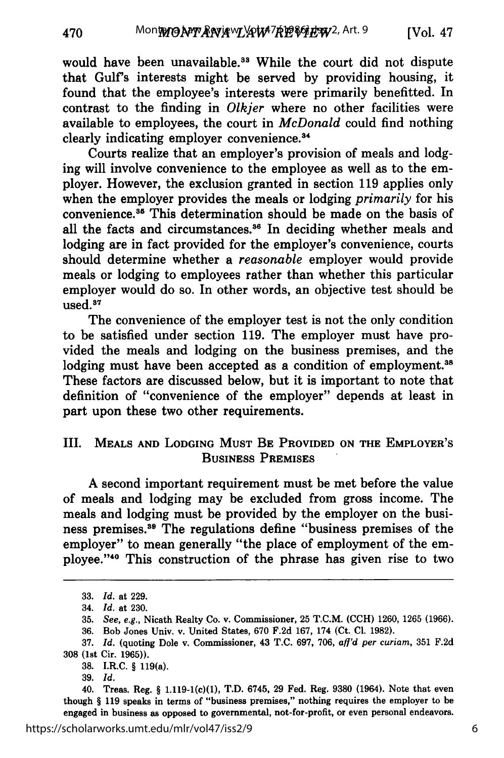would have been unavailable.<sup>33</sup> While the court did not dispute that Gulf's interests might be served by providing housing, it found that the employee's interests were primarily benefitted. In contrast to the finding in *Olkjer* where no other facilities were available to employees, the court in *McDonald* could find nothing clearly indicating employer convenience.<sup>34</sup>

Courts realize that an employer's provision of meals and lodging will involve convenience to the employee as well as to the employer. However, the exclusion granted in section **119** applies only when the employer provides the meals or lodging *primarily* for his convenience.<sup>35</sup> This determination should be made on the basis of all the facts and circumstances.<sup>36</sup> In deciding whether meals and lodging are in fact provided for the employer's convenience, courts should determine whether a *reasonable* employer would provide meals or lodging to employees rather than whether this particular employer would do so. In other words, an objective test should be  $used.^{37}$ 

The convenience of the employer test is not the only condition to be satisfied under section **119.** The employer must have provided the meals and lodging on the business premises, and the lodging must have been accepted as a condition of employment.<sup>38</sup> These factors are discussed below, but it is important to note that definition of "convenience of the employer" depends at least in part upon these two other requirements.

## III. MEALS **AND** LODGING **MUST BE PROVIDED ON THE** EMPLOYER'S **BUSINESS PREMISES**

A second important requirement must be met before the value of meals and lodging may be excluded from gross income. The meals and lodging must be provided by the employer on the business premises.<sup>39</sup> The regulations define "business premises of the employer" to mean generally "the place of employment of the employee."<sup>40</sup> This construction of the phrase has given rise to two

<sup>33.</sup> *Id.* at 229.

<sup>34.</sup> *Id.* at 230.

<sup>35.</sup> *See, e.g.,* Nicath Realty Co. v. Commissioner, 25 T.C.M. (CCH) 1260, 1265 (1966).

<sup>36.</sup> Bob Jones Univ. v. United States, 670 F.2d 167, 174 (Ct. Cl. 1982).

<sup>37.</sup> *Id.* (quoting Dole v. Commissioner, 43 T.C. 697, 706, *aff'd per curiam,* 351 F.2d 308 (1st Cir. 1965)).

**<sup>38.</sup>** I.R.C. § 119(a).

<sup>39.</sup> *Id.*

<sup>40.</sup> Treas. Reg. § 1.119-1(c)(1), T.D. 6745, 29 Fed. Reg. 9380 (1964). Note that even though § 119 speaks in terms of "business premises," nothing requires the employer to be engaged in business as opposed to governmental, not-for-profit, or even personal endeavors.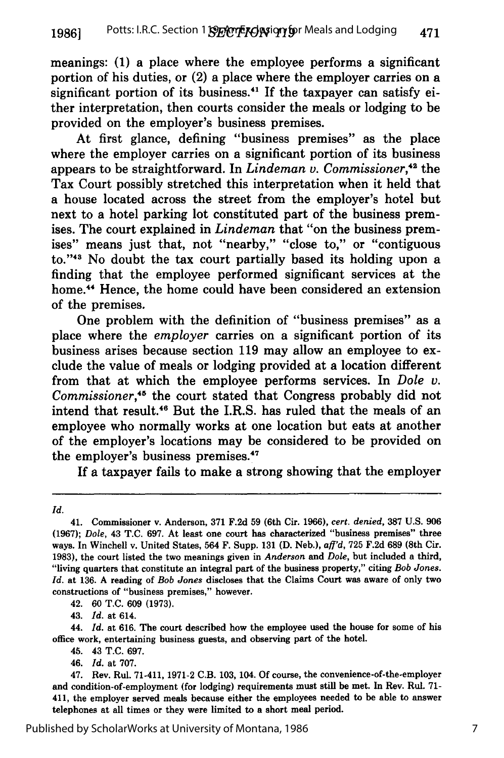meanings: **(1)** a place where the employee performs a significant portion of his duties, or (2) a place where the employer carries on a significant portion of its business.<sup>41</sup> If the taxpayer can satisfy either interpretation, then courts consider the meals or lodging to be provided on the employer's business premises.

At first glance, defining "business premises" as the place where the employer carries on a significant portion of its business appears to be straightforward. In *Lindeman v. Commissioner,"2* the Tax Court possibly stretched this interpretation when it held that a house located across the street from the employer's hotel but next to a hotel parking lot constituted part of the business premises. The court explained in *Lindeman* that "on the business premises" means just that, not "nearby," "close to," or "contiguous to."<sup>43</sup> No doubt the tax court partially based its holding upon a finding that the employee performed significant services at the home.<sup>44</sup> Hence, the home could have been considered an extension of the premises.

One problem with the definition of "business premises" as a place where the *employer* carries on a significant portion of its business arises because section 119 may allow an employee to exclude the value of meals or lodging provided at a location different from that at which the employee performs services. In *Dole v. Commissioner,'45* the court stated that Congress probably did not intend that result.<sup>46</sup> But the I.R.S. has ruled that the meals of an employee who normally works at one location but eats at another of the employer's locations may be considered to be provided on the employer's business premises.4'

If a taxpayer fails to make a strong showing that the employer

42. 60 T.C. 609 (1973).

43. *Id.* at 614.

44. *Id.* at 616. The court described how the employee used the house for some of his office work, entertaining business guests, and observing part of the hotel.

45. 43 T.C. 697.

46. *Id.* at 707.

*Id.*

<sup>41.</sup> Commissioner v. Anderson, 371 F.2d 59 (6th Cir. 1966), *cert. denied,* **387** U.S. 906 (1967); *Dole,* 43 T.C. 697. At least one court has characterized "business premises" three ways. In Winchell v. United States, 564 F. Supp. 131 **(D.** Neb.), *afl'd,* 725 F.2d 689 (8th Cir. 1983), the court listed the two meanings given in *Anderson* and *Dole,* but included a third, "living quarters that constitute an integral part of the business property," citing *Bob Jones. Id.* at 136. **A** reading of *Bob Jones* discloses that the Claims Court was aware of only two constructions of "business premises," however.

<sup>47.</sup> Rev. Rul. 71-411, 1971-2 C.B. 103, 104. Of course, the convenience-of-the-employer and condition-of-employment (for lodging) requirements must still be met. In Rev. Rul. **71-** 411, the employer served meals because either the employees needed to be able to answer telephones at all times or they were limited to a short meal period.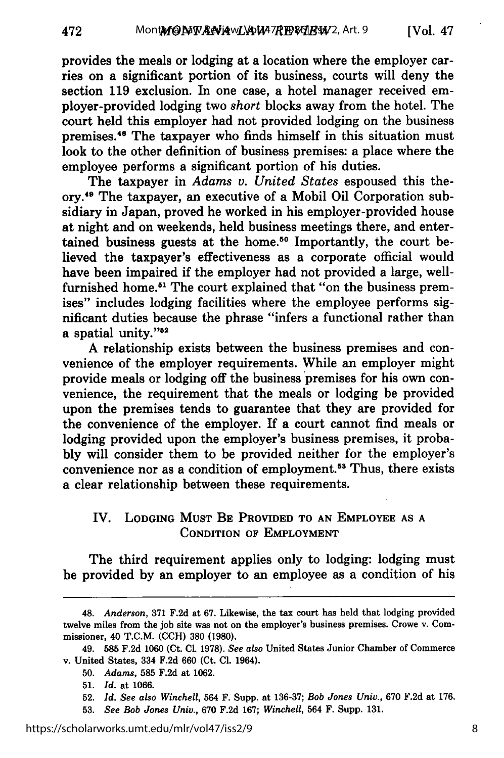provides the meals or lodging at a location where the employer carries on a significant portion of its business, courts will deny the section 119 exclusion. In one case, a hotel manager received employer-provided lodging two *short* blocks away from the hotel. The court held this employer had not provided lodging on the business premises.48 The taxpayer who finds himself in this situation must look to the other definition of business premises: a place where the employee performs a significant portion of his duties.

The taxpayer in *Adams v. United States* espoused this theory.49 The taxpayer, an executive of a Mobil Oil Corporation subsidiary in Japan, proved he worked in his employer-provided house at night and on weekends, held business meetings there, and entertained business guests at the home.<sup>50</sup> Importantly, the court believed the taxpayer's effectiveness as a corporate official would have been impaired if the employer had not provided a large, wellfurnished home.<sup>51</sup> The court explained that "on the business premises" includes lodging facilities where the employee performs significant duties because the phrase "infers a functional rather than a spatial unity."<sup>52</sup>

A relationship exists between the business premises and convenience of the employer requirements. While an employer might provide meals or lodging off the business premises for his own convenience, the requirement that the meals or lodging be provided upon the premises tends to guarantee that they are provided for the convenience of the employer. If a court cannot find meals or lodging provided upon the employer's business premises, it probably will consider them to be provided neither for the employer's convenience nor as a condition of employment.<sup>53</sup> Thus, there exists a clear relationship between these requirements.

## IV. **LODGING MUST** BE PROVIDED TO **AN** EMPLOYEE **AS A CONDITION OF** EMPLOYMENT

The third requirement applies only to lodging: lodging must be provided by an employer to an employee as a condition of his

<sup>48.</sup> *Anderson,* **371** F.2d at **67.** Likewise, the tax court has held that lodging provided twelve miles from the job site was not on the employer's business premises. Crowe v. Commissioner, 40 T.C.M. **(CCH) 380 (1980).**

**<sup>49. 585</sup> F.2d 1060** (Ct. **Cl. 1978).** *See also* United States Junior Chamber of Commerce v. United States, **334 F.2d 660 (Ct. Cl. 1964).**

<sup>50.</sup> *Adams,* **585** F.2d at **1062.**

**<sup>51.</sup>** *Id.* at 1066.

<sup>52.</sup> *Id. See also Winchell,* 564 F. Supp. at 136-37; *Bob Jones Univ.,* 670 F.2d at 176.

<sup>53.</sup> *See Bob Jones Univ.,* 670 F.2d 167; *Winchell,* 564 F. Supp. 131.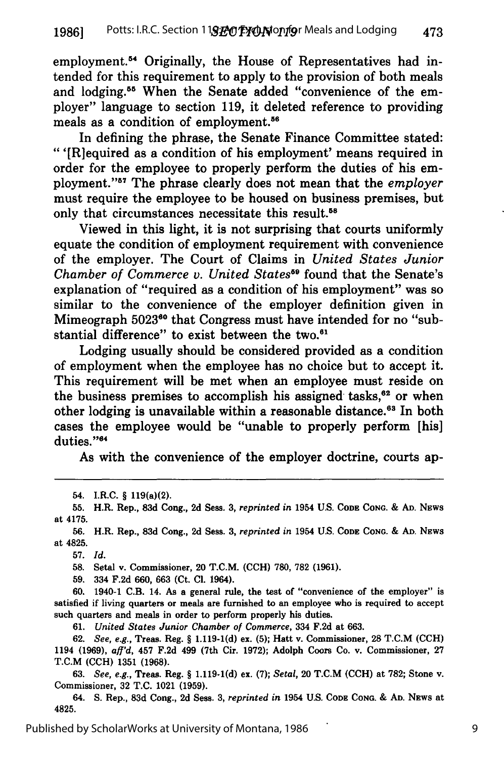employment.<sup>54</sup> Originally, the House of Representatives had intended for this requirement to apply to the provision of both meals and lodging.<sup>55</sup> When the Senate added "convenience of the employer" language to section 119, it deleted reference to providing meals as a condition of employment.<sup>56</sup>

In defining the phrase, the Senate Finance Committee stated: "'[R]equired as a condition of his employment' means required in order for the employee to properly perform the duties of his employment."<sup>57</sup> The phrase clearly does not mean that the *employer* must require the employee to be housed on business premises, but only that circumstances necessitate this result.<sup>58</sup>

Viewed in this light, it is not surprising that courts uniformly equate the condition of employment requirement with convenience of the employer. The Court of Claims in *United States Junior Chamber of Commerce v. United States59* found that the Senate's explanation of "required as a condition of his employment" was so similar to the convenience of the employer definition given in Mimeograph 5023<sup>60</sup> that Congress must have intended for no "substantial difference" to exist between the two.<sup>61</sup>

Lodging usually should be considered provided as a condition of employment when the employee has no choice but to accept it. This requirement will be met when an employee must reside on the business premises to accomplish his assigned tasks, $^{62}$  or when other lodging is unavailable within a reasonable distance.<sup>63</sup> In both cases the employee would be "unable to properly perform [his] duties."<sup>64</sup>

As with the convenience of the employer doctrine, courts ap-

54. I.R.C. § 119(a)(2).

**55.** H.R. Rep., **83d** Cong., **2d** Sess. **3,** *reprinted in* **1954 U.S. CODE CONG. & AD.** NEws at 4175.

**56.** H.R. Rep., **83d** Cong., **2d** Sess. **3,** *reprinted in* 1954 **U.S. CODE CONG. & AD.** NEws at 4825.

**57.** *Id.*

**58.** Setal v. Commissioner, 20 T.C.M. **(CCH) 780, 782 (1961).**

**59.** 334 **F.2d 660, 663** (Ct. **Cl.** 1964).

**60.** 1940-1 C.B. 14. As a general rule, the test of "convenience of the employer" is satisfied if living quarters or meals are furnished to an employee who is required to accept such quarters and meals in order to perform properly his duties.

**61.** *United States Junior Chamber of Commerce,* 334 **F.2d** at **663.**

**62.** *See, e.g.,* Tress. Reg. § **1.119-1(d) ex. (5);** Hatt v. Commissioner, **28** T.C.M **(CCH)** 1194 **(1969),** *afl'd,* 457 **F.2d** 499 (7th Cir. **1972);** Adolph Coors Co. v. Commissioner, **27** T.C.M **(CCH) 1351 (1968).**

**63.** *See, e.g.,* Treas. Reg. § **1.119-1(d) ex. (7);** *Setal,* 20 T.C.M **(CCH)** at **782;** Stone v. Commissioner, **32 T.C.** 1021 **(1959).**

64. **S.** Rep., **83d** Cong., **2d** Sess. **3,** *reprinted in* 1954 **U.S. CODE CONG. & AD.** NEws at 4825.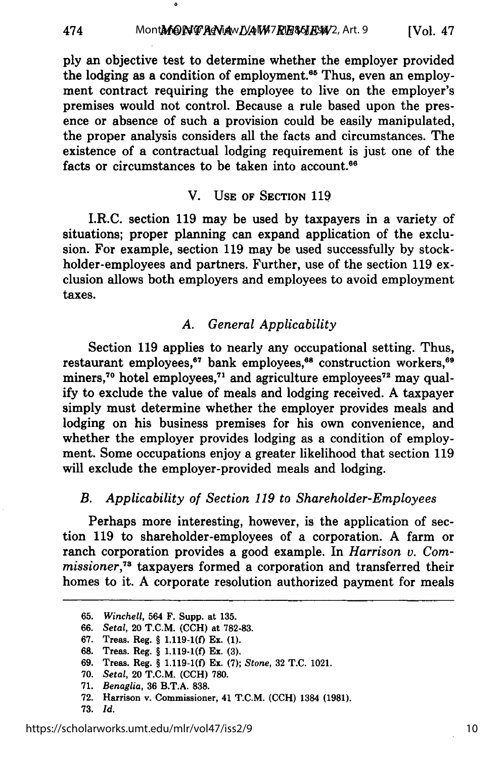ply an objective test to determine whether the employer provided the lodging as a condition of employment.<sup>65</sup> Thus, even an employment contract requiring the employee to live on the employer's premises would not control. Because a rule based upon the presence or absence of such a provision could be easily manipulated, the proper analysis considers all the facts and circumstances. The existence of a contractual lodging requirement is just one of the facts or circumstances to be taken into account.<sup>66</sup>

٥

#### V. **USE** OF SECTION 119

I.R.C. section 119 may be used by taxpayers in a variety of situations; proper planning can expand application of the exclusion. For example, section 119 may be used successfully by stockholder-employees and partners. Further, use of the section 119 exclusion allows both employers and employees to avoid employment taxes.

## *A. General Applicability*

Section 119 applies to nearly any occupational setting. Thus, restaurant employees,<sup>67</sup> bank employees,<sup>68</sup> construction workers,<sup>69</sup> miners,<sup>70</sup> hotel employees,<sup>71</sup> and agriculture employees<sup>72</sup> may qual**ify** to exclude the value of meals and lodging received. **A** taxpayer simply must determine whether the employer provides meals and lodging on his business premises for his own convenience, and whether the employer provides lodging as a condition of employment. Some occupations enjoy a greater likelihood that section **119** will exclude the employer-provided meals and lodging.

## *B. Applicability of Section 119 to Shareholder-Employees*

Perhaps more interesting, however, is the application of section 119 to shareholder-employees of a corporation. A farm or ranch corporation provides a good example. In *Harrison v. Com*missioner,<sup>73</sup> taxpayers formed a corporation and transferred their homes to it. A corporate resolution authorized payment for meals

- **69.** Tress. Reg. § **1.119-1(0** Ex. **(7);** *Stone,* **32 T.C.** 1021.
- **70.** *Setal,* 20 T.C.M. **(CCH) 780.**
- **71.** *Benaglia,* **36** B.T.A. **838.**
- **72.** Harrison v. Commissioner, 41 T.C.M. **(CCH)** 1384 **(1981).**
- **73.** *Id.*

474

<sup>65.</sup> *Winchell,* 564 F. Supp. at 135.

<sup>66.</sup> *Setal,* 20 T.C.M. **(CCH)** at 782-83.

**<sup>67.</sup>** Treas. Reg. § **1.119-1(f)** Ex. **(1).**

**<sup>68.</sup>** Treas. Reg. § **1.119-1(0** Ex. **(3).**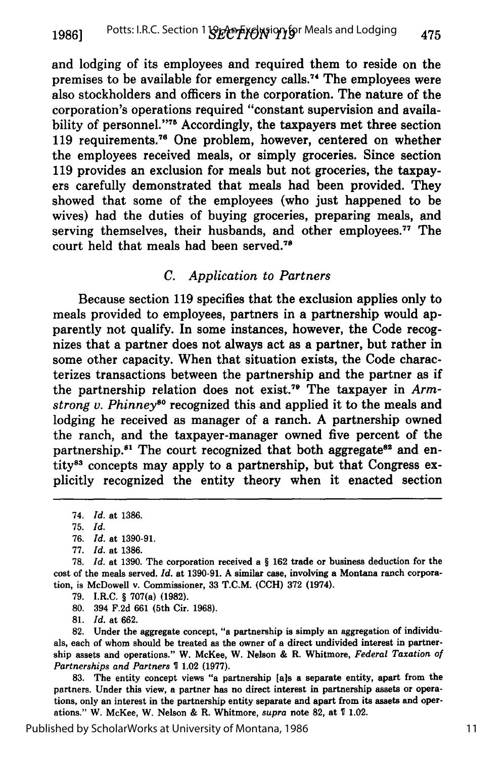and lodging of its employees and required them to reside on the premises to be available for emergency calls.<sup>74</sup> The employees were also stockholders and officers in the corporation. The nature of the corporation's operations required "constant supervision and availability of personnel."<sup>75</sup> Accordingly, the taxpayers met three section 119 requirements.<sup>76</sup> One problem, however, centered on whether the employees received meals, or simply groceries. Since section 119 provides an exclusion for meals but not groceries, the taxpayers carefully demonstrated that meals had been provided. They showed that some of the employees (who just happened to be wives) had the duties of buying groceries, preparing meals, and serving themselves, their husbands, and other employees.<sup>77</sup> The court held that meals had been served.<sup>78</sup>

## *C. Application to Partners*

Because section 119 specifies that the exclusion applies only to meals provided to employees, partners in a partnership would apparently not qualify. In some instances, however, the Code recognizes that a partner does not always act as a partner, but rather in some other capacity. When that situation exists, the Code characterizes transactions between the partnership and the partner as if the partnership relation does not exist.<sup>79</sup> The taxpayer in *Armstrong v. Phinneys°* recognized this and applied it to the meals and lodging he received as manager of a ranch. A partnership owned the ranch, and the taxpayer-manager owned five percent of the partnership.<sup>81</sup> The court recognized that both aggregate<sup>82</sup> and entity<sup>83</sup> concepts may apply to a partnership, but that Congress explicitly recognized the entity theory when it enacted section

**79.** I.R.C. § 707(a) **(1982).**

**80.** 394 **F.2d 661** (5th Cir. **1968).**

**81.** *Id.* at **662.**

**82.** Under the aggregate concept, "a partnership is simply an aggregation of individuals, each of whom should be treated as the owner of a direct undivided interest in partnership assets and operations." W. McKee, W. Nelson **&** R. Whitmore, *Federal Taxation of Partnerships and Partners 1* 1.02 **(1977).**

**83.** The entity concept views "a partnership **[a]s** a separate entity, apart from the partners. Under this view, a partner has no direct interest in partnership assets or operations, only an interest in the partnership entity separate and apart from its assets and operations." W. McKee, W. Nelson **&** R. Whitmore, supra note **82,** at **1** 1.02.

<sup>74.</sup> *Id.* at 1386.

<sup>75.</sup> *Id.*

<sup>76.</sup> *Id.* at 1390-91.

<sup>77.</sup> *Id.* at 1386.

**<sup>78.</sup>** *Id.* at **1390.** The corporation received a § **162** trade or business deduction for the cost of the meals served. *Id.* at **1390-91. A** similar case, involving a Montana ranch corporation, is McDowell v. Commissioner, **33** T.C.M. **(CCH) 372** (1974).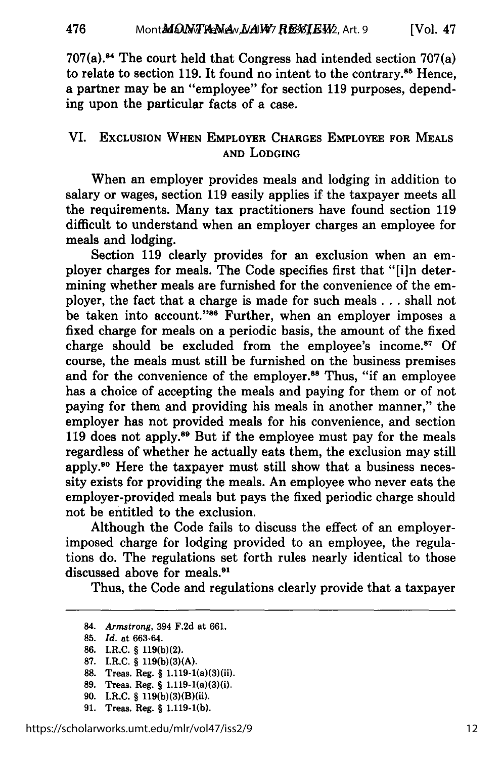$707(a)$ .<sup>84</sup> The court held that Congress had intended section  $707(a)$ to relate to section 119. It found no intent to the contrary.85 Hence, a partner may be an "employee" for section 119 purposes, depending upon the particular facts of a case.

## VI. EXCLUSION WHEN EMPLOYER CHARGES EMPLOYEE FOR MEALS **AND** LODGING

When an employer provides meals and lodging in addition to salary or wages, section **119** easily applies if the taxpayer meets all the requirements. Many tax practitioners have found section **119** difficult to understand when an employer charges an employee for meals and lodging.

Section **119** clearly provides for an exclusion when an employer charges for meals. The Code specifies first that **"[in** determining whether meals are furnished for the convenience of the employer, the fact that a charge is made for such meals **...** shall not be taken into account."<sup>86</sup> Further, when an employer imposes a fixed charge for meals on a periodic basis, the amount of the fixed charge should be excluded from the employee's income.<sup>87</sup> Of course, the meals must still be furnished on the business premises and for the convenience of the employer.<sup>88</sup> Thus, "if an employee has a choice of accepting the meals and paying for them or of not paying for them and providing his meals in another manner," the employer has not provided meals for his convenience, and section 119 does not apply.<sup>89</sup> But if the employee must pay for the meals regardless of whether he actually eats them, the exclusion may still apply.90 Here the taxpayer must still show that a business necessity exists for providing the meals. An employee who never eats the employer-provided meals but pays the fixed periodic charge should not be entitled to the exclusion.

Although the Code fails to discuss the effect of an employerimposed charge for lodging provided to an employee, the regulations do. The regulations set forth rules nearly identical to those discussed above for meals.<sup>91</sup>

Thus, the Code and regulations clearly provide that a taxpayer

84. *Armstrong,* 394 F.2d at 661.

476

- **87.** I.R.C. § **119(b)(3)(A).**
- **88.** Treas. Reg. § 1.119-1(a)(3)(ii).
- **89.** Treas. Reg. § 1.119-1(a)(3)(i).
- **90.** I.R.C. § 119(b)(3)(B)(ii).
- **91.** Treas. Reg. § **1.119-1(b).**

<sup>85.</sup> *Id.* at 663-64.

**<sup>86.</sup>** I.R.C. § 119(b)(2).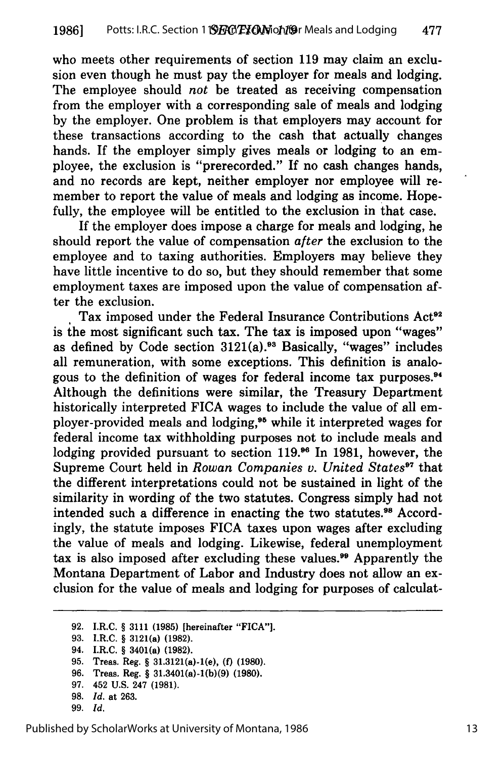who meets other requirements of section 119 may claim an exclusion even though he must pay the employer for meals and lodging. The employee should *not* be treated as receiving compensation from the employer with a corresponding sale of meals and lodging by the employer. One problem is that employers may account for these transactions according to the cash that actually changes hands. If the employer simply gives meals or lodging to an employee, the exclusion is "prerecorded." If no cash changes hands, and no records are kept, neither employer nor employee will remember to report the value of meals and lodging as income. Hopefully, the employee will be entitled to the exclusion in that case.

If the employer does impose a charge for meals and lodging, he should report the value of compensation *after* the exclusion to the employee and to taxing authorities. Employers may believe they have little incentive to do so, but they should remember that some employment taxes are imposed upon the value of compensation after the exclusion.

Tax imposed under the Federal Insurance Contributions Act<sup>92</sup> is the most significant such tax. The tax is imposed upon "wages" as defined by Code section  $3121(a)$ .<sup>93</sup> Basically, "wages" includes all remuneration, with some exceptions. This definition is analogous to the definition of wages for federal income tax purposes.<sup>94</sup> Although the definitions were similar, the Treasury Department historically interpreted FICA wages to include the value of all employer-provided meals and lodging,<sup>95</sup> while it interpreted wages for federal income tax withholding purposes not to include meals and lodging provided pursuant to section 119.96 In 1981, however, the Supreme Court held in *Rowan Companies v. United States<sup>97</sup>* that the different interpretations could not be sustained in light of the similarity in wording of the two statutes. Congress simply had not intended such a difference in enacting the two statutes.<sup>98</sup> Accordingly, the statute imposes FICA taxes upon wages after excluding the value of meals and lodging. Likewise, federal unemployment tax is also imposed after excluding these values.<sup>99</sup> Apparently the Montana Department of Labor and Industry does not allow an exclusion for the value of meals and lodging for purposes of calculat-

**97.** 452 **U.S.** 247 **(1981).**

**99.** *Id.*

**<sup>92.</sup>** I.R.C. § 3111 **(1985)** [hereinafter **"FICA"].**

**<sup>93.</sup>** I.R.C. § 3121(a) **(1982).**

<sup>94.</sup> I.R.C. § 3401(a) **(1982).**

**<sup>95.</sup>** Treas. Reg. § 31.3121(a)-1(e), **(f) (1980).**

**<sup>96.</sup>** Treas. Reg. § 31.3401(a)-l(b)(9) **(1980).**

**<sup>98.</sup>** *Id.* at **263.**